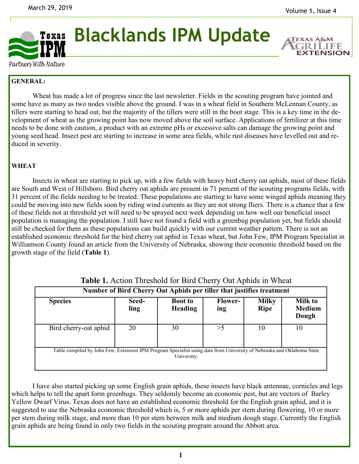**EXTENSION** 



## **Blacklands IPM Update**

Partners With Nature

## **GENERAL:**

Wheat has made a lot of progress since the last newsletter. Fields in the scouting program have jointed and some have as many as two nodes visible above the ground. I was in a wheat field in Southern McLennan County, as tillers were starting to head out, but the majority of the tillers were still in the boot stage. This is a key time in the development of wheat as the growing point has now moved above the soil surface. Applications of fertilizer at this time needs to be done with caution, a product with an extreme pHs or excessive salts can damage the growing point and young seed head. Insect pest are starting to increase in some area fields, while rust diseases have levelled out and reduced in severity.

## **WHEAT**

Insects in wheat are starting to pick up, with a few fields with heavy bird cherry oat aphids, most of these fields are South and West of Hillsboro. Bird cherry oat aphids are present in 71 percent of the scouting programs fields, with 31 percent of the fields needing to be treated. These populations are starting to have some winged aphids meaning they could be moving into new fields soon by riding wind currents as they are not strong fliers. There is a chance that a few of these fields not at threshold yet will need to be sprayed next week depending on how well our beneficial insect population is managing the population. I still have not found a field with a greenbug population yet, but fields should still be checked for them as these populations can build quickly with our current weather pattern. There is not an established economic threshold for the bird cherry oat aphid in Texas wheat, but John Few, IPM Program Specialist in Williamson County found an article from the University of Nebraska, showing their economic threshold based on the growth stage of the field (**Table 1**).

| Number of Bird Cherry Oat Aphids per tiller that justifies treatment                                                                  |               |                                  |                       |                             |                                          |
|---------------------------------------------------------------------------------------------------------------------------------------|---------------|----------------------------------|-----------------------|-----------------------------|------------------------------------------|
| <b>Species</b>                                                                                                                        | Seed-<br>ling | <b>Boot to</b><br><b>Heading</b> | <b>Flower-</b><br>ing | <b>Milky</b><br><b>Ripe</b> | <b>Milk to</b><br><b>Medium</b><br>Dough |
| Bird cherry-oat aphid                                                                                                                 | 20            | 30                               | >5                    | 10                          | 10                                       |
| Table compiled by John Few, Extension IPM Program Specialist using data from University of Nebraska and Oklahoma State<br>University. |               |                                  |                       |                             |                                          |

**Table 1.** Action Threshold for Bird Cherry Oat Aphids in Wheat

I have also started picking up some English grain aphids, these insects have black antennae, cornicles and legs which helps to tell the apart form greenbugs. They seldomly become an economic pest, but are vectors of Barley Yellow Dwarf Virus. Texas does not have an established economic threshold for the English grain aphid, and it is suggested to use the Nebraska economic threshold which is, 5 or more aphids per stem during flowering, 10 or more per stem during milk stage, and more than 10 per stem between milk and medium dough stage. Currently the English grain aphids are being found in only two fields in the scouting program around the Abbott area.